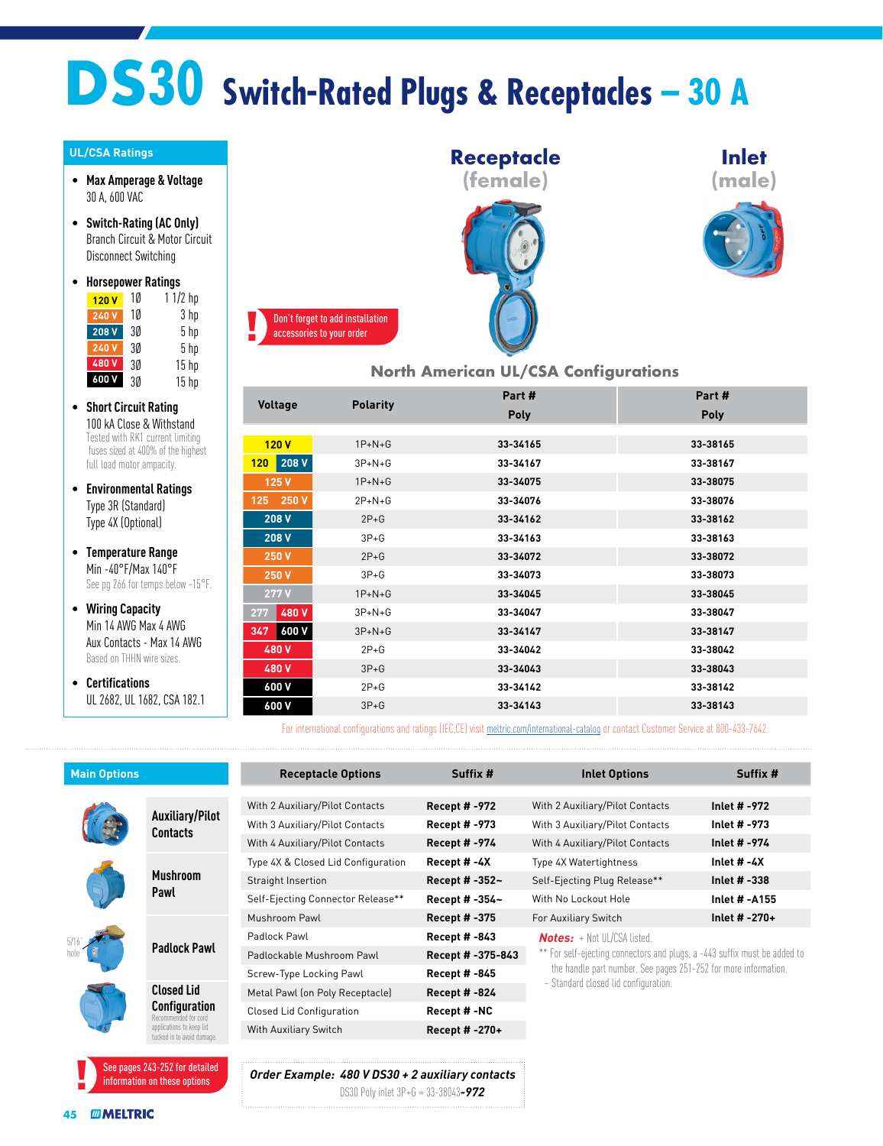## **DS30 Switch-Rated Plugs & Receptacles – 30 A**

## **UL/CSA Ratings**

- **Max Amperage & Voltage** 30 A, 600 VAC
- **Switch-Rating (AC Only)** Branch Circuit & Motor Circuit Disconnect Switching

| $\bullet$ | <b>Horsepower Ratings</b> |    |                  |  |  |  |
|-----------|---------------------------|----|------------------|--|--|--|
|           | 120V                      | 10 | $11/2$ hp        |  |  |  |
|           | 240V                      | 10 | 3 hp             |  |  |  |
|           | 208 V                     | 3Ø | 5 <sub>hp</sub>  |  |  |  |
|           | 240 V                     | 3Ø | 5 <sub>hp</sub>  |  |  |  |
|           | 480V                      | 3Ø | 15 <sub>hp</sub> |  |  |  |
|           | 600 V                     | 3Ø | 15 <sub>hp</sub> |  |  |  |

- **Short Circuit Rating** 100 kA Close & Withstand Tested with RK1 current limiting fuses sized at 400% of the highest full load motor ampacity.
- **Environmental Ratings** Type 3R (Standard) Type 4X (Optional)
- **Temperature Range** Min -40°F/Max 140°F See pg 266 for temps below -15°F.
- **Wiring Capacity** Min 14 AWG Max 4 AWG Aux Contacts - Max 14 AWG Based on THHN wire sizes.
- **Certifications** UL 2682, UL 1682, CSA 182.1







**North American UL/CSA Configurations**

|                           |                 | Part#       | Part#       |
|---------------------------|-----------------|-------------|-------------|
| Voltage                   | <b>Polarity</b> | <b>Poly</b> | <b>Poly</b> |
|                           |                 |             |             |
| 120V                      | $1P+N+G$        | 33-34165    | 33-38165    |
| 208 V<br>120 <sub>1</sub> | $3P+N+G$        | 33-34167    | 33-38167    |
| 125V                      | $1P+N+G$        | 33-34075    | 33-38075    |
| 250 V<br>125              | $2P + N + G$    | 33-34076    | 33-38076    |
| 208 V                     | $2P+G$          | 33-34162    | 33-38162    |
| 208 V                     | $3P+G$          | 33-34163    | 33-38163    |
| 250 V                     | $2P+G$          | 33-34072    | 33-38072    |
| 250 V                     | $3P+G$          | 33-34073    | 33-38073    |
| 277V                      | $1P+N+G$        | 33-34045    | 33-38045    |
| 480V<br>277               | $3P+N+G$        | 33-34047    | 33-38047    |
| <b>600 V</b><br>347       | $3P+N+G$        | 33-34147    | 33-38147    |
| 480V                      | $2P+G$          | 33-34042    | 33-38042    |
| 480 V                     | $3P+G$          | 33-34043    | 33-38043    |
| 600 V                     | $2P+G$          | 33-34142    | 33-38142    |
| 600 V                     | $3P + G$        | 33-34143    | 33-38143    |

For international configurations and ratings (IEC,CE) visit [meltric.com/international-catalog](https://meltric.com/media/contentmanager/content/MARECHAL_Full_Catalogue_EN_1.pdf) or contact Customer Service at 800-433-7642.

| <b>Main Options</b> |                                                                                                                 | <b>Receptacle Options</b>                                                                       | Suffix #            | <b>Inlet Options</b>                                                                                                                                                                 | Suffix #             |  |
|---------------------|-----------------------------------------------------------------------------------------------------------------|-------------------------------------------------------------------------------------------------|---------------------|--------------------------------------------------------------------------------------------------------------------------------------------------------------------------------------|----------------------|--|
|                     | <b>Auxiliary/Pilot</b><br><b>Contacts</b>                                                                       | With 2 Auxiliary/Pilot Contacts                                                                 | Recept # -972       | With 2 Auxiliary/Pilot Contacts                                                                                                                                                      | Inlet # -972         |  |
|                     |                                                                                                                 | With 3 Auxiliary/Pilot Contacts                                                                 | Recept # -973       | With 3 Auxiliary/Pilot Contacts                                                                                                                                                      | Inlet # -973         |  |
|                     |                                                                                                                 | With 4 Auxiliary/Pilot Contacts                                                                 | Recept # -974       | With 4 Auxiliary/Pilot Contacts                                                                                                                                                      | Inlet # -974         |  |
|                     | <b>Mushroom</b><br>Pawl                                                                                         | Type 4X & Closed Lid Configuration                                                              | Recept # -4X        | Type 4X Watertightness                                                                                                                                                               | Inlet $# -4X$        |  |
|                     |                                                                                                                 | Straight Insertion                                                                              | Recept # $-352-$    | Self-Ejecting Plug Release**                                                                                                                                                         | Inlet # -338         |  |
|                     |                                                                                                                 | Self-Ejecting Connector Release**                                                               | Recept # -354~      | With No Lockout Hole                                                                                                                                                                 | <b>Inlet # -A155</b> |  |
|                     | <b>Padlock Pawl</b>                                                                                             | Mushroom Pawl                                                                                   | Recept # -375       | For Auxiliary Switch                                                                                                                                                                 | Inlet $# -270+$      |  |
|                     |                                                                                                                 | Padlock Pawl                                                                                    | Recept # -843       | <b>Notes:</b> + Not UI /CSA listed.                                                                                                                                                  |                      |  |
|                     |                                                                                                                 | Padlockable Mushroom Pawl                                                                       | Recept # -375-843   | ** For self-ejecting connectors and plugs, a -443 suffix must be added to<br>the handle part number. See pages 251-252 for more information.<br>~ Standard closed lid configuration. |                      |  |
|                     |                                                                                                                 | Screw-Type Locking Pawl                                                                         | Recept # -845       |                                                                                                                                                                                      |                      |  |
|                     | <b>Closed Lid</b><br>Configuration<br>mended for cord<br>applications to keep lid<br>tucked in to avoid damage. | Metal Pawl (on Poly Receptacle)                                                                 | <b>Recept #-824</b> |                                                                                                                                                                                      |                      |  |
|                     |                                                                                                                 | <b>Closed Lid Configuration</b>                                                                 | Recept #-NC         |                                                                                                                                                                                      |                      |  |
|                     |                                                                                                                 | With Auxiliary Switch                                                                           | Recept # -270+      |                                                                                                                                                                                      |                      |  |
|                     |                                                                                                                 |                                                                                                 |                     |                                                                                                                                                                                      |                      |  |
|                     | See pages 243-252 for detailed<br>information on these options                                                  | Order Example: 480 V DS30 + 2 auxiliary contacts<br>DS30 Poly intet 3P+G = 33-38043 <b>-972</b> |                     |                                                                                                                                                                                      |                      |  |

DS30 Poly inlet 3P+G = 33-38043*-972*